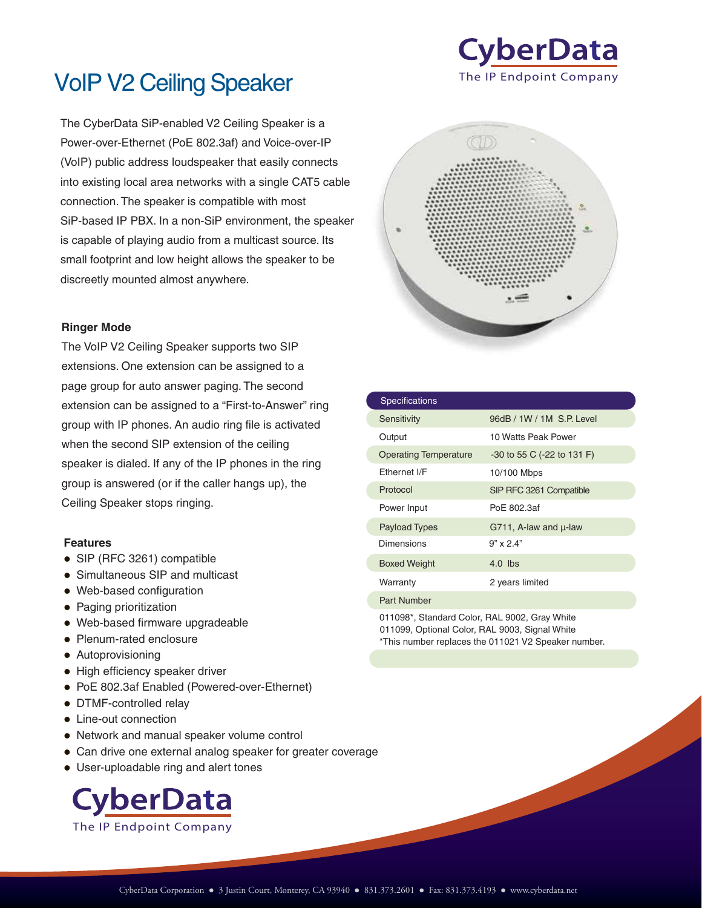

# VoIP V2 Ceiling Speaker

The CyberData SiP-enabled V2 Ceiling Speaker is a Power-over-Ethernet (PoE 802.3af) and Voice-over-IP (VoIP) public address loudspeaker that easily connects into existing local area networks with a single CAT5 cable connection. The speaker is compatible with most SiP-based IP PBX. In a non-SiP environment, the speaker is capable of playing audio from a multicast source. Its small footprint and low height allows the speaker to be discreetly mounted almost anywhere.

#### **Ringer Mode**

The VoIP V2 Ceiling Speaker supports two SIP extensions. One extension can be assigned to a page group for auto answer paging. The second extension can be assigned to a "First-to-Answer" ring group with IP phones. An audio ring file is activated when the second SIP extension of the ceiling speaker is dialed. If any of the IP phones in the ring group is answered (or if the caller hangs up), the Ceiling Speaker stops ringing.

#### **Features**

- SIP (RFC 3261) compatible
- Simultaneous SIP and multicast
- Web-based configuration
- Paging prioritization
- Web-based firmware upgradeable
- Plenum-rated enclosure
- Autoprovisioning
- High efficiency speaker driver
- PoE 802.3af Enabled (Powered-over-Ethernet)
- DTMF-controlled relay
- Line-out connection
- Network and manual speaker volume control
- Can drive one external analog speaker for greater coverage
- User-uploadable ring and alert tones





| <b>Specifications</b>        |                                 |
|------------------------------|---------------------------------|
| Sensitivity                  | 96dB / 1W / 1M S.P. Level       |
| Output                       | 10 Watts Peak Power             |
| <b>Operating Temperature</b> | $-30$ to 55 C ( $-22$ to 131 F) |
| Fthernet I/F                 | 10/100 Mbps                     |
| Protocol                     | SIP RFC 3261 Compatible         |
| Power Input                  | PoE 802.3af                     |
| <b>Payload Types</b>         | G711, A-law and $\mu$ -law      |
| Dimensions                   | $9'' \times 2.4''$              |
| <b>Boxed Weight</b>          | $4.0$ lbs                       |
| Warranty                     | 2 years limited                 |
| <b>Part Number</b>           |                                 |
|                              |                                 |

011098\*, Standard Color, RAL 9002, Gray White 011099, Optional Color, RAL 9003, Signal White \*This number replaces the 011021 V2 Speaker number.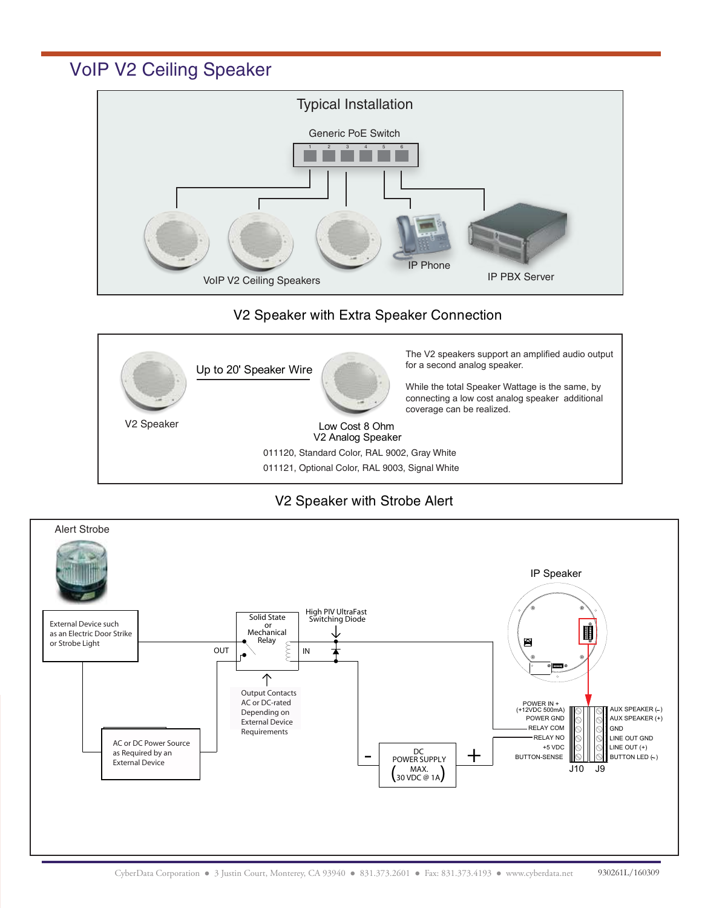VoIP V2 Ceiling Speaker



## V2 Speaker with Extra Speaker Connection



## V2 Speaker with Strobe Alert